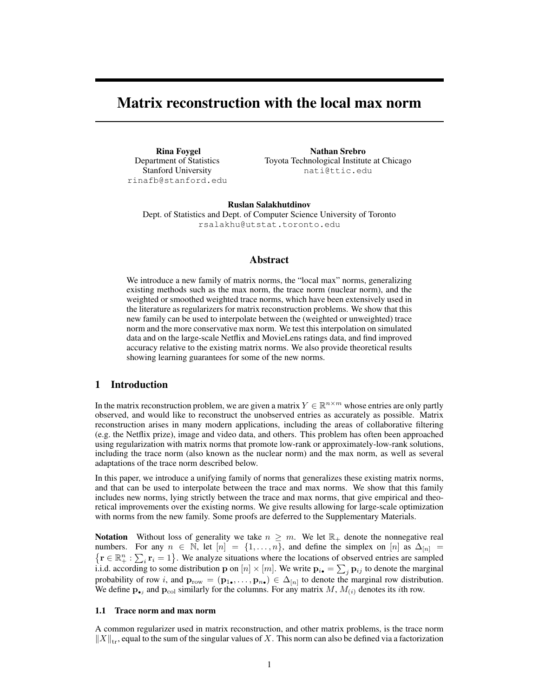# Matrix reconstruction with the local max norm

Rina Foygel Department of Statistics Stanford University rinafb@stanford.edu

Nathan Srebro Toyota Technological Institute at Chicago nati@ttic.edu

Ruslan Salakhutdinov Dept. of Statistics and Dept. of Computer Science University of Toronto rsalakhu@utstat.toronto.edu

### Abstract

We introduce a new family of matrix norms, the "local max" norms, generalizing existing methods such as the max norm, the trace norm (nuclear norm), and the weighted or smoothed weighted trace norms, which have been extensively used in the literature as regularizers for matrix reconstruction problems. We show that this new family can be used to interpolate between the (weighted or unweighted) trace norm and the more conservative max norm. We test this interpolation on simulated data and on the large-scale Netflix and MovieLens ratings data, and find improved accuracy relative to the existing matrix norms. We also provide theoretical results showing learning guarantees for some of the new norms.

### 1 Introduction

In the matrix reconstruction problem, we are given a matrix  $Y \in \mathbb{R}^{n \times m}$  whose entries are only partly observed, and would like to reconstruct the unobserved entries as accurately as possible. Matrix reconstruction arises in many modern applications, including the areas of collaborative filtering (e.g. the Netflix prize), image and video data, and others. This problem has often been approached using regularization with matrix norms that promote low-rank or approximately-low-rank solutions, including the trace norm (also known as the nuclear norm) and the max norm, as well as several adaptations of the trace norm described below.

In this paper, we introduce a unifying family of norms that generalizes these existing matrix norms, and that can be used to interpolate between the trace and max norms. We show that this family includes new norms, lying strictly between the trace and max norms, that give empirical and theoretical improvements over the existing norms. We give results allowing for large-scale optimization with norms from the new family. Some proofs are deferred to the Supplementary Materials.

**Notation** Without loss of generality we take  $n \geq m$ . We let  $\mathbb{R}_+$  denote the nonnegative real numbers. For any  $n \in \mathbb{N}$ , let  $[n] = \{1, \ldots, n\}$ , and define the simplex on  $[n]$  as  $\Delta_{[n]} =$  $\{r \in \mathbb{R}_+^n : \sum_i r_i = 1\}$ . We analyze situations where the locations of observed entries are sampled i.i.d. according to some distribution p on  $[n] \times [m]$ . We write  $p_{i\bullet} = \sum_j p_{ij}$  to denote the marginal probability of row i, and  $\mathbf{p}_{\text{row}} = (\mathbf{p}_1, \dots, \mathbf{p}_{n_{\bullet}}) \in \Delta_{[n]}$  to denote the marginal row distribution. We define  $\mathbf{p}_{\bullet j}$  and  $\mathbf{p}_{\text{col}}$  similarly for the columns. For any matrix M,  $M_{(i)}$  denotes its *i*th row.

#### 1.1 Trace norm and max norm

A common regularizer used in matrix reconstruction, and other matrix problems, is the trace norm  $\|X\|_{\text{tr}}$ , equal to the sum of the singular values of X. This norm can also be defined via a factorization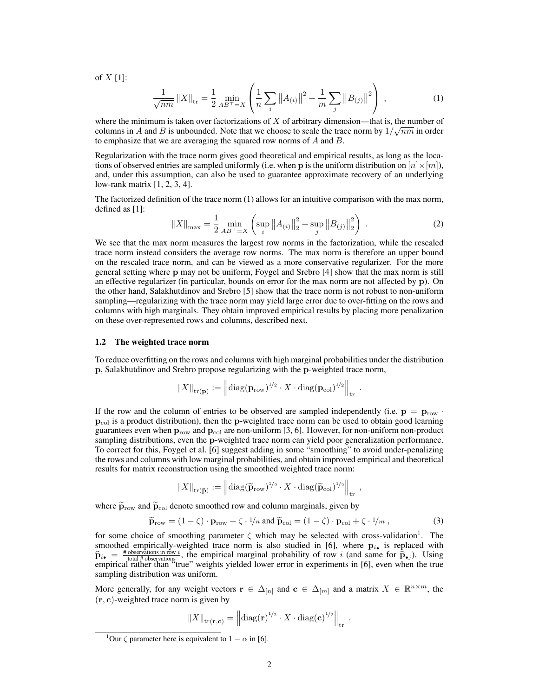of  $X$  [1]:

$$
\frac{1}{\sqrt{nm}} \|X\|_{\text{tr}} = \frac{1}{2} \min_{AB^{\top}=X} \left( \frac{1}{n} \sum_{i} \|A_{(i)}\|^{2} + \frac{1}{m} \sum_{j} \|B_{(j)}\|^{2} \right) , \qquad (1)
$$

where the minimum is taken over factorizations of X of arbitrary dimension—that is, the number of columns in A and B is unbounded. Note that we choose to scale the trace norm by  $1/\sqrt{nm}$  in order to emphasize that we are averaging the squared row norms of  $A$  and  $B$ .

Regularization with the trace norm gives good theoretical and empirical results, as long as the locations of observed entries are sampled uniformly (i.e. when **p** is the uniform distribution on  $[n] \times [m]$ ), and, under this assumption, can also be used to guarantee approximate recovery of an underlying low-rank matrix [1, 2, 3, 4].

The factorized definition of the trace norm (1) allows for an intuitive comparison with the max norm, defined as [1]:

$$
||X||_{\max} = \frac{1}{2} \min_{AB^{\top}=X} \left( \sup_{i} ||A_{(i)}||_{2}^{2} + \sup_{j} ||B_{(j)}||_{2}^{2} \right) .
$$
 (2)

.

,

We see that the max norm measures the largest row norms in the factorization, while the rescaled trace norm instead considers the average row norms. The max norm is therefore an upper bound on the rescaled trace norm, and can be viewed as a more conservative regularizer. For the more general setting where p may not be uniform, Foygel and Srebro [4] show that the max norm is still an effective regularizer (in particular, bounds on error for the max norm are not affected by p). On the other hand, Salakhutdinov and Srebro [5] show that the trace norm is not robust to non-uniform sampling—regularizing with the trace norm may yield large error due to over-fitting on the rows and columns with high marginals. They obtain improved empirical results by placing more penalization on these over-represented rows and columns, described next.

# 1.2 The weighted trace norm

To reduce overfitting on the rows and columns with high marginal probabilities under the distribution p, Salakhutdinov and Srebro propose regularizing with the p-weighted trace norm,

$$
||X||_{\text{tr}(\mathbf{p})} := \left||\text{diag}(\mathbf{p}_{\text{row}})^{1/2} \cdot X \cdot \text{diag}(\mathbf{p}_{\text{col}})^{1/2} \right||_{\text{tr}}
$$

If the row and the column of entries to be observed are sampled independently (i.e.  $\mathbf{p} = \mathbf{p}_{\text{row}}$ .  $p_{\text{col}}$  is a product distribution), then the p-weighted trace norm can be used to obtain good learning guarantees even when  $p_{row}$  and  $p_{col}$  are non-uniform [3, 6]. However, for non-uniform non-product sampling distributions, even the p-weighted trace norm can yield poor generalization performance. To correct for this, Foygel et al. [6] suggest adding in some "smoothing" to avoid under-penalizing the rows and columns with low marginal probabilities, and obtain improved empirical and theoretical results for matrix reconstruction using the smoothed weighted trace norm:

$$
||X||_{\text{tr}(\widetilde{\mathbf{p}})} := \left||\text{diag}(\widetilde{\mathbf{p}}_{\text{row}})^{1/2} \cdot X \cdot \text{diag}(\widetilde{\mathbf{p}}_{\text{col}})^{1/2} \right||_{\text{tr}}
$$

where  $\widetilde{\mathbf{p}}_{\text{row}}$  and  $\widetilde{\mathbf{p}}_{\text{col}}$  denote smoothed row and column marginals, given by

$$
\widetilde{\mathbf{p}}_{\text{row}} = (1 - \zeta) \cdot \mathbf{p}_{\text{row}} + \zeta \cdot \frac{1}{n} \text{ and } \widetilde{\mathbf{p}}_{\text{col}} = (1 - \zeta) \cdot \mathbf{p}_{\text{col}} + \zeta \cdot \frac{1}{m},\tag{3}
$$

for some choice of smoothing parameter  $\zeta$  which may be selected with cross-validation<sup>1</sup>. The smoothed empirically-weighted trace norm is also studied in [6], where  $p_{i_{\bullet}}$  is replaced with  $\hat{p}_{i\bullet} = \frac{\text{\# observations in row } i}{\text{total \# observations in row } i}$ , the empirical marginal probability of row i (and same for  $\hat{p}_{\bullet j}$ ). Using empirical rather than "true" weights yielded lower error in experiments in [6], even when the true sampling distribution was uniform.

More generally, for any weight vectors  $\mathbf{r} \in \Delta_{[n]}$  and  $\mathbf{c} \in \Delta_{[m]}$  and a matrix  $X \in \mathbb{R}^{n \times m}$ , the  $(r, c)$ -weighted trace norm is given by

$$
||X||_{\text{tr}(\mathbf{r},\mathbf{c})} = ||\text{diag}(\mathbf{r})^{1/2} \cdot X \cdot \text{diag}(\mathbf{c})^{1/2}||_{\text{tr}}.
$$

<sup>&</sup>lt;sup>1</sup>Our  $\zeta$  parameter here is equivalent to  $1 - \alpha$  in [6].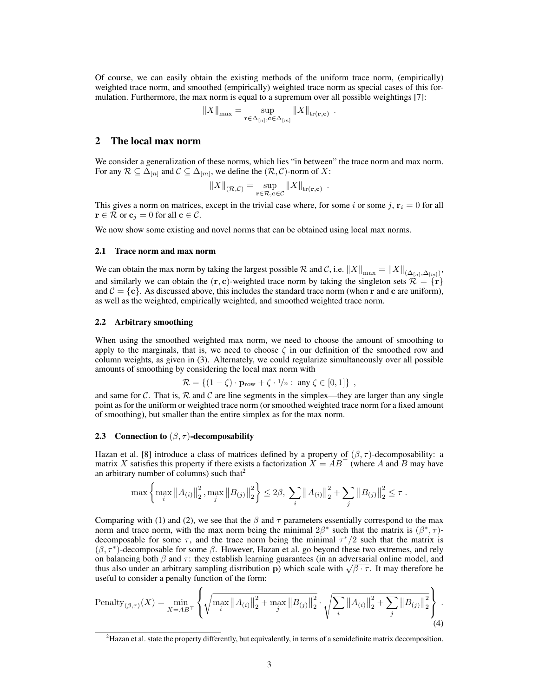Of course, we can easily obtain the existing methods of the uniform trace norm, (empirically) weighted trace norm, and smoothed (empirically) weighted trace norm as special cases of this formulation. Furthermore, the max norm is equal to a supremum over all possible weightings [7]:

$$
||X||_{\max} = \sup_{\mathbf{r} \in \Delta_{[n]}, \mathbf{c} \in \Delta_{[m]}} ||X||_{\text{tr}(\mathbf{r}, \mathbf{c})} .
$$

# 2 The local max norm

We consider a generalization of these norms, which lies "in between" the trace norm and max norm. For any  $\mathcal{R} \subseteq \Delta_{[n]}$  and  $\mathcal{C} \subseteq \Delta_{[m]}$ , we define the  $(\mathcal{R}, \mathcal{C})$ -norm of X:

$$
||X||_{(\mathcal{R}, \mathcal{C})} = \sup_{\mathbf{r} \in \mathcal{R}, \mathbf{c} \in \mathcal{C}} ||X||_{\text{tr}(\mathbf{r}, \mathbf{c})}
$$

.

This gives a norm on matrices, except in the trivial case where, for some i or some j,  $\mathbf{r}_i = 0$  for all  $\mathbf{r} \in \mathcal{R}$  or  $\mathbf{c}_i = 0$  for all  $\mathbf{c} \in \mathcal{C}$ .

We now show some existing and novel norms that can be obtained using local max norms.

### 2.1 Trace norm and max norm

We can obtain the max norm by taking the largest possible R and C, i.e.  $||X||_{\max} = ||X||_{(\Delta_{[n]}, \Delta_{[m]})}$ , and similarly we can obtain the  $(r, c)$ -weighted trace norm by taking the singleton sets  $\mathcal{R} = \{r\}$ and  $C = \{c\}$ . As discussed above, this includes the standard trace norm (when r and c are uniform), as well as the weighted, empirically weighted, and smoothed weighted trace norm.

#### 2.2 Arbitrary smoothing

When using the smoothed weighted max norm, we need to choose the amount of smoothing to apply to the marginals, that is, we need to choose  $\zeta$  in our definition of the smoothed row and column weights, as given in (3). Alternately, we could regularize simultaneously over all possible amounts of smoothing by considering the local max norm with

$$
\mathcal{R} = \{ (1 - \zeta) \cdot \mathbf{p}_{\text{row}} + \zeta \cdot \frac{1}{n} : \text{ any } \zeta \in [0, 1] \},
$$

and same for C. That is,  $\mathcal R$  and C are line segments in the simplex—they are larger than any single point as for the uniform or weighted trace norm (or smoothed weighted trace norm for a fixed amount of smoothing), but smaller than the entire simplex as for the max norm.

#### 2.3 Connection to  $(\beta, \tau)$ -decomposability

Hazan et al. [8] introduce a class of matrices defined by a property of  $(\beta, \tau)$ -decomposability: a matrix X satisfies this property if there exists a factorization  $X = AB^{\top}$  (where A and B may have an arbitrary number of columns) such that<sup>2</sup>

$$
\max \left\{ \max_{i} \left\| A_{(i)} \right\|_{2}^{2}, \max_{j} \left\| B_{(j)} \right\|_{2}^{2} \right\} \leq 2\beta, \sum_{i} \left\| A_{(i)} \right\|_{2}^{2} + \sum_{j} \left\| B_{(j)} \right\|_{2}^{2} \leq \tau.
$$

Comparing with (1) and (2), we see that the  $\beta$  and  $\tau$  parameters essentially correspond to the max norm and trace norm, with the max norm being the minimal  $2\beta^*$  such that the matrix is  $(\beta^*, \tau)$ decomposable for some  $\tau$ , and the trace norm being the minimal  $\tau^*/2$  such that the matrix is  $(\beta, \tau^*)$ -decomposable for some  $\beta$ . However, Hazan et al. go beyond these two extremes, and rely on balancing both  $\beta$  and  $\tau$ : they establish learning guarantees (in an adversarial online model, and on balancing both  $\beta$  and  $\tau$ : they establish learning guarantees (in an adversarial online model, and thus also under an arbitrary sampling distribution p) which scale with  $\sqrt{\beta \cdot \tau}$ . It may therefore be useful to consider a penalty function of the form:

Penalty
$$
\text{Penalty}_{(\beta,\tau)}(X) = \min_{X = AB^{\top}} \left\{ \sqrt{\max_{i} \|A_{(i)}\|_{2}^{2} + \max_{j} \|B_{(j)}\|_{2}^{2}} \cdot \sqrt{\sum_{i} \|A_{(i)}\|_{2}^{2} + \sum_{j} \|B_{(j)}\|_{2}^{2}} \right\}.
$$
\n(4)

 $\overline{ }$ 

<sup>&</sup>lt;sup>2</sup>Hazan et al. state the property differently, but equivalently, in terms of a semidefinite matrix decomposition.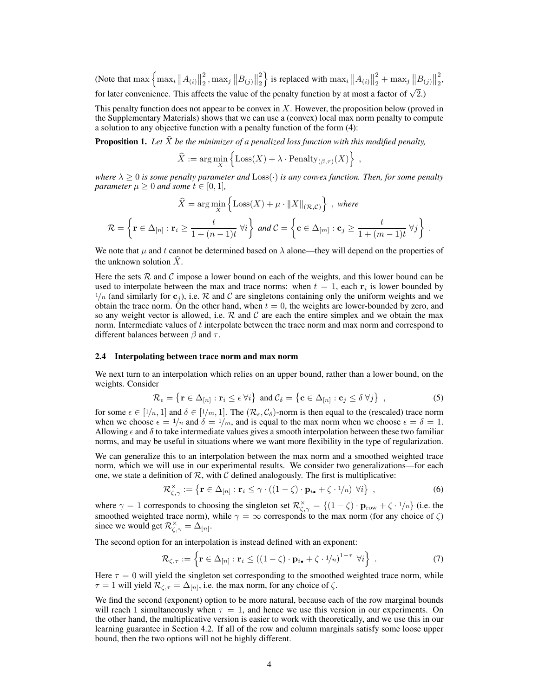(Note that  $\max\left\{\max_i\|A_{(i)}\|$ 2  $\frac{2}{2}, \max_j ||B_{(j)}||$ 2  $\binom{2}{2}$  is replaced with  $\max_i ||A_{(i)}||$ 2  $\frac{2}{2} + \max_j ||B_{(j)}||$ 2  $\frac{2}{2}$ for later convenience. This affects the value of the penalty function by at most a factor of  $\sqrt{2}$ .)

This penalty function does not appear to be convex in X. However, the proposition below (proved in the Supplementary Materials) shows that we can use a (convex) local max norm penalty to compute a solution to any objective function with a penalty function of the form (4):

**Proposition 1.** Let  $\hat{X}$  be the minimizer of a penalized loss function with this modified penalty,

$$
\widehat{X} := \arg\min_{X} \left\{ \text{Loss}(X) + \lambda \cdot \text{Penalty}_{(\beta, \tau)}(X) \right\},\,
$$

*where*  $\lambda \geq 0$  *is some penalty parameter and*  $Loss(\cdot)$  *is any convex function. Then, for some penalty parameter*  $\mu \geq 0$  *and some*  $t \in [0, 1]$ *,* 

$$
\widehat{X} = \arg\min_{X} \left\{ \text{Loss}(X) + \mu \cdot ||X||_{(\mathcal{R}, \mathcal{C})} \right\}, \text{ where}
$$
\n
$$
\mathcal{R} = \left\{ \mathbf{r} \in \Delta_{[n]} : \mathbf{r}_i \ge \frac{t}{1 + (n - 1)t} \,\forall i \right\} \text{ and } \mathcal{C} = \left\{ \mathbf{c} \in \Delta_{[m]} : \mathbf{c}_j \ge \frac{t}{1 + (m - 1)t} \,\forall j \right\} \,.
$$

We note that  $\mu$  and t cannot be determined based on  $\lambda$  alone—they will depend on the properties of the unknown solution  $X$ .

Here the sets  $R$  and  $C$  impose a lower bound on each of the weights, and this lower bound can be used to interpolate between the max and trace norms: when  $t = 1$ , each  $r_i$  is lower bounded by  $1/n$  (and similarly for  $c_j$ ), i.e. R and C are singletons containing only the uniform weights and we obtain the trace norm. On the other hand, when  $t = 0$ , the weights are lower-bounded by zero, and so any weight vector is allowed, i.e.  $\mathcal R$  and  $\mathcal C$  are each the entire simplex and we obtain the max norm. Intermediate values of t interpolate between the trace norm and max norm and correspond to different balances between  $\beta$  and  $\tau$ .

#### 2.4 Interpolating between trace norm and max norm

We next turn to an interpolation which relies on an upper bound, rather than a lower bound, on the weights. Consider

$$
\mathcal{R}_{\epsilon} = \left\{ \mathbf{r} \in \Delta_{[n]} : \mathbf{r}_i \leq \epsilon \; \forall i \right\} \; \text{and} \; \mathcal{C}_{\delta} = \left\{ \mathbf{c} \in \Delta_{[n]} : \mathbf{c}_j \leq \delta \; \forall j \right\} \; , \tag{5}
$$

for some  $\epsilon \in [1/n, 1]$  and  $\delta \in [1/m, 1]$ . The  $(\mathcal{R}_{\epsilon}, \mathcal{C}_{\delta})$ -norm is then equal to the (rescaled) trace norm when we choose  $\epsilon = 1/n$  and  $\delta = 1/m$ , and is equal to the max norm when we choose  $\epsilon = \delta = 1$ . Allowing  $\epsilon$  and  $\delta$  to take intermediate values gives a smooth interpolation between these two familiar norms, and may be useful in situations where we want more flexibility in the type of regularization.

We can generalize this to an interpolation between the max norm and a smoothed weighted trace norm, which we will use in our experimental results. We consider two generalizations—for each one, we state a definition of  $\mathcal{R}$ , with  $\mathcal{C}$  defined analogously. The first is multiplicative:

$$
\mathcal{R}^{\times}_{\zeta,\gamma} := \left\{ \mathbf{r} \in \Delta_{[n]} : \mathbf{r}_i \leq \gamma \cdot ((1-\zeta) \cdot \mathbf{p}_{i\bullet} + \zeta \cdot 1/n) \ \forall i \right\} \ , \tag{6}
$$

where  $\gamma = 1$  corresponds to choosing the singleton set  $\mathcal{R}^{\times}_{\zeta,\gamma} = \{(1-\zeta) \cdot \mathbf{p}_{\text{row}} + \zeta \cdot 1/n\}$  (i.e. the smoothed weighted trace norm), while  $\gamma = \infty$  corresponds to the max norm (for any choice of  $\zeta$ ) since we would get  $\mathcal{R}_{\zeta,\gamma}^{\times} = \Delta_{[n]}$ .

The second option for an interpolation is instead defined with an exponent:

$$
\mathcal{R}_{\zeta,\tau} := \left\{ \mathbf{r} \in \Delta_{[n]} : \mathbf{r}_i \le ((1-\zeta) \cdot \mathbf{p}_{i\bullet} + \zeta \cdot 1/n)^{1-\tau} \ \forall i \right\} \ . \tag{7}
$$

Here  $\tau = 0$  will yield the singleton set corresponding to the smoothed weighted trace norm, while  $\tau = 1$  will yield  $\mathcal{R}_{\zeta,\tau} = \Delta_{[n]},$  i.e. the max norm, for any choice of  $\zeta$ .

We find the second (exponent) option to be more natural, because each of the row marginal bounds will reach 1 simultaneously when  $\tau = 1$ , and hence we use this version in our experiments. On the other hand, the multiplicative version is easier to work with theoretically, and we use this in our learning guarantee in Section 4.2. If all of the row and column marginals satisfy some loose upper bound, then the two options will not be highly different.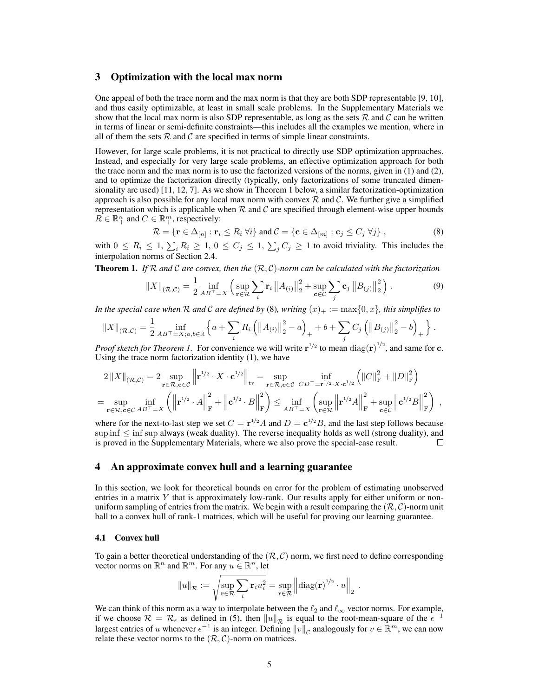# 3 Optimization with the local max norm

One appeal of both the trace norm and the max norm is that they are both SDP representable [9, 10], and thus easily optimizable, at least in small scale problems. In the Supplementary Materials we show that the local max norm is also SDP representable, as long as the sets  $R$  and  $C$  can be written in terms of linear or semi-definite constraints—this includes all the examples we mention, where in all of them the sets  $R$  and  $C$  are specified in terms of simple linear constraints.

However, for large scale problems, it is not practical to directly use SDP optimization approaches. Instead, and especially for very large scale problems, an effective optimization approach for both the trace norm and the max norm is to use the factorized versions of the norms, given in (1) and (2), and to optimize the factorization directly (typically, only factorizations of some truncated dimensionality are used) [11, 12, 7]. As we show in Theorem 1 below, a similar factorization-optimization approach is also possible for any local max norm with convex  $R$  and  $C$ . We further give a simplified representation which is applicable when  $R$  and  $C$  are specified through element-wise upper bounds  $R \in \mathbb{R}_+^n$  and  $C \in \mathbb{R}_+^m$ , respectively:

$$
\mathcal{R} = \{ \mathbf{r} \in \Delta_{[n]} : \mathbf{r}_i \le R_i \ \forall i \} \text{ and } \mathcal{C} = \{ \mathbf{c} \in \Delta_{[m]} : \mathbf{c}_j \le C_j \ \forall j \},
$$
\n(8)

with  $0 \le R_i \le 1$ ,  $\sum_i R_i \ge 1$ ,  $0 \le C_j \le 1$ ,  $\sum_j C_j \ge 1$  to avoid triviality. This includes the interpolation norms of Section 2.4.

Theorem 1. *If* R *and* C *are convex, then the* (R, C)*-norm can be calculated with the factorization*

$$
||X||_{(\mathcal{R}, \mathcal{C})} = \frac{1}{2} \inf_{AB^{\top} = X} \left( \sup_{\mathbf{r} \in \mathcal{R}} \sum_{i} \mathbf{r}_{i} ||A_{(i)}||_{2}^{2} + \sup_{\mathbf{c} \in \mathcal{C}} \sum_{j} \mathbf{c}_{j} ||B_{(j)}||_{2}^{2} \right).
$$
 (9)

*In the special case when*  $R$  *and*  $C$  *are defined by* (8)*, writing*  $(x)_+ := \max\{0, x\}$ *, this simplifies to* 

$$
||X||_{(\mathcal{R},\mathcal{C})} = \frac{1}{2} \inf_{AB^{\top}=X; a,b \in \mathbb{R}} \left\{ a + \sum_{i} R_i \left( ||A_{(i)}||_2^2 - a \right)_+ + b + \sum_{j} C_j \left( ||B_{(j)}||_2^2 - b \right)_+ \right\}.
$$

*Proof sketch for Theorem 1.* For convenience we will write  $\mathbf{r}^{1/2}$  to mean  $\text{diag}(\mathbf{r})^{1/2}$ , and same for c. Using the trace norm factorization identity (1), we have

$$
2\left\|X\right\|_{\left(\mathcal{R},\mathcal{C}\right)} = 2\sup_{\mathbf{r}\in\mathcal{R},\mathbf{c}\in\mathcal{C}}\left\|\mathbf{r}^{1/2}\cdot X\cdot\mathbf{c}^{1/2}\right\|_{\rm tr} = \sup_{\mathbf{r}\in\mathcal{R},\mathbf{c}\in\mathcal{C}}\inf_{CD^{\top}=\mathbf{r}^{1/2}\cdot X\cdot\mathbf{c}^{1/2}}\left(\left\|C\right\|_{\rm F}^{2}+\left\|D\right\|_{\rm F}^{2}\right)
$$
  
= 
$$
\sup_{\mathbf{r}\in\mathcal{R},\mathbf{c}\in\mathcal{C}}\inf_{AB^{\top}=X}\left(\left\|\mathbf{r}^{1/2}\cdot A\right\|_{\rm F}^{2}+\left\|\mathbf{c}^{1/2}\cdot B\right\|_{\rm F}^{2}\right) \leq \inf_{AB^{\top}=X}\left(\sup_{\mathbf{r}\in\mathcal{R}}\left\|\mathbf{r}^{1/2}A\right\|_{\rm F}^{2}+\sup_{\mathbf{c}\in\mathcal{C}}\left\|\mathbf{c}^{1/2}B\right\|_{\rm F}^{2}\right),
$$

where for the next-to-last step we set  $C = \mathbf{r}^{1/2} A$  and  $D = \mathbf{c}^{1/2} B$ , and the last step follows because sup inf  $\leq$  inf sup always (weak duality). The reverse inequality holds as well (strong duality), and is proved in the Supplementary Materials, where we also prove the special-case result.  $\Box$ 

## 4 An approximate convex hull and a learning guarantee

In this section, we look for theoretical bounds on error for the problem of estimating unobserved entries in a matrix Y that is approximately low-rank. Our results apply for either uniform or nonuniform sampling of entries from the matrix. We begin with a result comparing the  $(\mathcal{R}, \mathcal{C})$ -norm unit ball to a convex hull of rank-1 matrices, which will be useful for proving our learning guarantee.

### 4.1 Convex hull

To gain a better theoretical understanding of the  $(R, C)$  norm, we first need to define corresponding vector norms on  $\mathbb{R}^n$  and  $\mathbb{R}^m$ . For any  $u \in \mathbb{R}^n$ , let

$$
||u||_{\mathcal{R}} := \sqrt{\sup_{\mathbf{r} \in \mathcal{R}} \sum_{i} \mathbf{r}_{i} u_{i}^{2}} = \sup_{\mathbf{r} \in \mathcal{R}} \left\| \mathrm{diag}(\mathbf{r})^{1/2} \cdot u \right\|_{2} .
$$

We can think of this norm as a way to interpolate between the  $\ell_2$  and  $\ell_{\infty}$  vector norms. For example, if we choose  $\mathcal{R} = \mathcal{R}_{\epsilon}$  as defined in (5), then  $||u||_{\mathcal{R}}$  is equal to the root-mean-square of the  $\epsilon^{-1}$ largest entries of u whenever  $\epsilon^{-1}$  is an integer. Defining  $||v||_{\mathcal{C}}$  analogously for  $v \in \mathbb{R}^m$ , we can now relate these vector norms to the  $(R, C)$ -norm on matrices.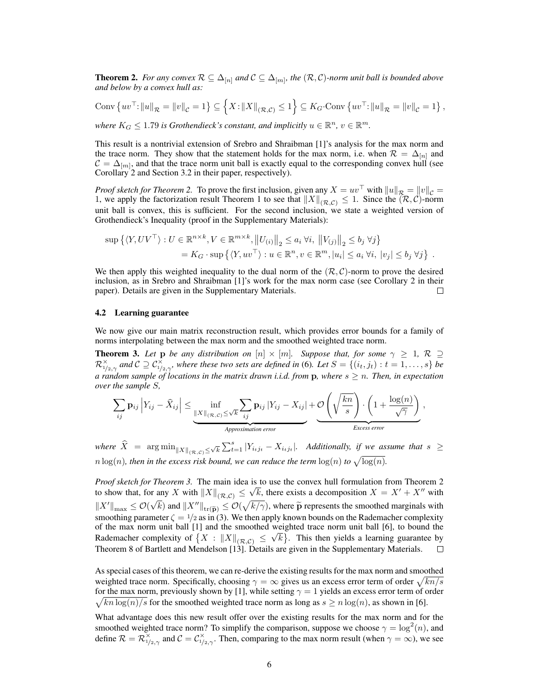**Theorem 2.** For any convex  $\mathcal{R}$  ⊆  $\Delta_{[n]}$  and  $\mathcal{C}$  ⊆  $\Delta_{[m]}$ , the  $(\mathcal{R}, \mathcal{C})$ -norm unit ball is bounded above *and below by a convex hull as:*

Conv  $\{uv^{\top}: ||u||_{\mathcal{R}} = ||v||_{\mathcal{C}} = 1\} \subseteq \left\{X : ||X||_{(\mathcal{R},\mathcal{C})} \leq 1\right\} \subseteq K_G$  Conv  $\{uv^{\top}: ||u||_{\mathcal{R}} = ||v||_{\mathcal{C}} = 1\}$ ,

*where*  $K_G \leq 1.79$  *is Grothendieck's constant, and implicitly*  $u \in \mathbb{R}^n$ ,  $v \in \mathbb{R}^m$ .

This result is a nontrivial extension of Srebro and Shraibman [1]'s analysis for the max norm and the trace norm. They show that the statement holds for the max norm, i.e. when  $\mathcal{R} = \Delta_{[n]}$  and  $C = \Delta_{[m]}$ , and that the trace norm unit ball is exactly equal to the corresponding convex hull (see Corollary 2 and Section 3.2 in their paper, respectively).

*Proof sketch for Theorem 2.* To prove the first inclusion, given any  $X = uv^\top$  with  $||u||_{\mathcal{R}} = ||v||_{\mathcal{C}} =$ 1, we apply the factorization result Theorem 1 to see that  $||X||_{(\mathcal{R},\mathcal{C})} \leq 1$ . Since the  $(\mathcal{R}, \mathcal{C})$ -norm unit ball is convex, this is sufficient. For the second inclusion, we state a weighted version of Grothendieck's Inequality (proof in the Supplementary Materials):

$$
\sup \left\{ \langle Y, UV^{\top} \rangle : U \in \mathbb{R}^{n \times k}, V \in \mathbb{R}^{m \times k}, ||U_{(i)}||_2 \le a_i \ \forall i, ||V_{(j)}||_2 \le b_j \ \forall j \right\}
$$
  
=  $K_G \cdot \sup \left\{ \langle Y, uv^{\top} \rangle : u \in \mathbb{R}^n, v \in \mathbb{R}^m, |u_i| \le a_i \ \forall i, |v_j| \le b_j \ \forall j \right\}.$ 

We then apply this weighted inequality to the dual norm of the  $(R, C)$ -norm to prove the desired inclusion, as in Srebro and Shraibman [1]'s work for the max norm case (see Corollary 2 in their paper). Details are given in the Supplementary Materials.  $\sqcup$ 

### 4.2 Learning guarantee

We now give our main matrix reconstruction result, which provides error bounds for a family of norms interpolating between the max norm and the smoothed weighted trace norm.

**Theorem 3.** Let **p** be any distribution on  $[n] \times [m]$ . Suppose that, for some  $\gamma \geq 1$ ,  $\mathcal{R} \supseteq$  $\mathcal{R}^{\times}_{1/2,\gamma}$  and  $\mathcal{C} \supseteq \mathcal{C}^{\times}_{1/2,\gamma}$ , where these two sets are defined in (6). Let  $S = \{(i_t, j_t) : t = 1, \ldots, s\}$  be *a random sample of locations in the matrix drawn i.i.d. from* p*, where* s ≥ n*. Then, in expectation over the sample* S*,*

$$
\sum_{ij} \mathbf{p}_{ij} \left| Y_{ij} - \widehat{X}_{ij} \right| \leq \underbrace{\inf_{\|X\|_{(\mathcal{R},\mathcal{C})} \leq \sqrt{k}} \sum_{ij} \mathbf{p}_{ij} \left| Y_{ij} - X_{ij} \right|}_{Approximation error} + \underbrace{\mathcal{O}\left(\sqrt{\frac{kn}{s}}\right) \cdot \left(1 + \frac{\log(n)}{\sqrt{\gamma}}\right)}_{Excess error},
$$

where  $\widehat{X}$  =  $\argmin_{\|X\|_{(\mathcal{R},\mathcal{C})}\leq \sqrt{k}} \sum_{t=1}^s |Y_{i_tj_t} - X_{i_tj_t}|$ . Additionally, if we assume that  $s \geq$  $n \log(n)$ , then in the excess risk bound, we can reduce the term  $\log(n)$  to  $\sqrt{\log(n)}$ .

*Proof sketch for Theorem 3.* The main idea is to use the convex hull formulation from Theorem 2 to show that, for any X with  $||X||_{(\mathcal{R},\mathcal{C})} \leq \sqrt{k}$ , there exists a decomposition  $X = X' + X''$  with  $\|X'\|_{\max} \leq \mathcal{O}(\sqrt{k})$  and  $\|X''\|_{\text{tr}(\widetilde{\mathbf{p}})} \leq \mathcal{O}(\sqrt{k/\gamma})$ , where  $\widetilde{\mathbf{p}}$  represents the smoothed marginals with smoothing parameter  $\zeta = 1/2$  as in (3). We then apply known bounds on the Rademacher complexity of the max norm unit ball [1] and the smoothed weighted trace norm unit ball [6], to bound the Rademacher complexity of  $\{X : ||X||_{(\mathcal{R}, \mathcal{C})} \leq \sqrt{k}\}$ . This then yields a learning guarantee by Theorem 8 of Bartlett and Mendelson [13]. Details are given in the Supplementary Materials.

As special cases of this theorem, we can re-derive the existing results for the max norm and smoothed weighted trace norm. Specifically, choosing  $\gamma = \infty$  gives us an excess error term of order  $\sqrt{kn/s}$ for the max norm, previously shown by [1], while setting  $\gamma = 1$  yields an excess error term of order  $\sqrt{\ln \log(n)/s}$  for the smoothed weighted trace norm as long as  $s \ge n \log(n)$ , as shown in [6].

What advantage does this new result offer over the existing results for the max norm and for the smoothed weighted trace norm? To simplify the comparison, suppose we choose  $\gamma = \log^2(n)$ , and define  $\mathcal{R} = \mathcal{R}_{1/2,\gamma}^{\times}$  and  $\mathcal{C} = \mathcal{C}_{1/2,\gamma}^{\times}$ . Then, comparing to the max norm result (when  $\gamma = \infty$ ), we see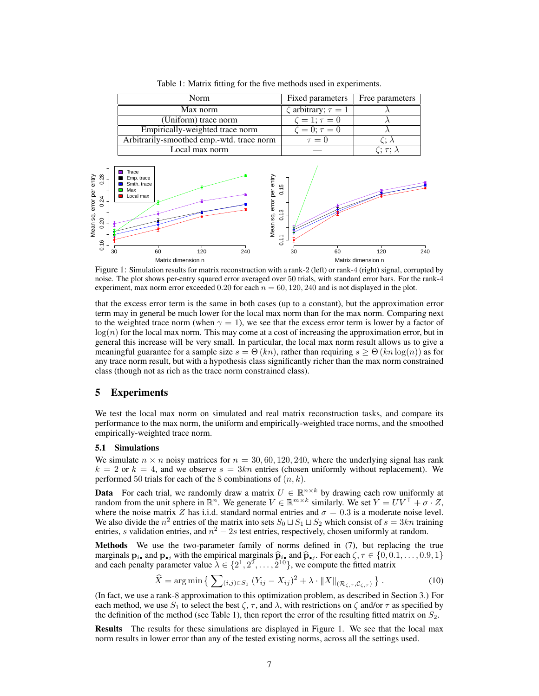| Norm                                      | Fixed parameters                         | Free parameters         |
|-------------------------------------------|------------------------------------------|-------------------------|
| Max norm                                  | $\overline{\zeta}$ arbitrary; $\tau = 1$ |                         |
| (Uniform) trace norm                      | $\zeta=1; \tau=0$                        |                         |
| Empirically-weighted trace norm           | $\zeta=0; \tau=0$                        |                         |
| Arbitrarily-smoothed emp.-wtd. trace norm | $\tau = 0$                               | $\zeta\colon \lambda$   |
| Local max norm                            |                                          | $\wedge: \tau: \lambda$ |

Table 1: Matrix fitting for the five methods used in experiments.



Figure 1: Simulation results for matrix reconstruction with a rank-2 (left) or rank-4 (right) signal, corrupted by noise. The plot shows per-entry squared error averaged over 50 trials, with standard error bars. For the rank-4 experiment, max norm error exceeded 0.20 for each  $n = 60, 120, 240$  and is not displayed in the plot.

that the excess error term is the same in both cases (up to a constant), but the approximation error term may in general be much lower for the local max norm than for the max norm. Comparing next to the weighted trace norm (when  $\gamma = 1$ ), we see that the excess error term is lower by a factor of  $log(n)$  for the local max norm. This may come at a cost of increasing the approximation error, but in general this increase will be very small. In particular, the local max norm result allows us to give a meaningful guarantee for a sample size  $s = \Theta(kn)$ , rather than requiring  $s \geq \Theta(kn \log(n))$  as for any trace norm result, but with a hypothesis class significantly richer than the max norm constrained class (though not as rich as the trace norm constrained class).

# 5 Experiments

We test the local max norm on simulated and real matrix reconstruction tasks, and compare its performance to the max norm, the uniform and empirically-weighted trace norms, and the smoothed empirically-weighted trace norm.

### 5.1 Simulations

We simulate  $n \times n$  noisy matrices for  $n = 30, 60, 120, 240$ , where the underlying signal has rank  $k = 2$  or  $k = 4$ , and we observe  $s = 3kn$  entries (chosen uniformly without replacement). We performed 50 trials for each of the 8 combinations of  $(n, k)$ .

**Data** For each trial, we randomly draw a matrix  $U \in \mathbb{R}^{n \times k}$  by drawing each row uniformly at random from the unit sphere in  $\mathbb{R}^n$ . We generate  $V \in \mathbb{R}^{m \times k}$  similarly. We set  $Y = UV^\top + \sigma \cdot Z$ , where the noise matrix Z has i.i.d. standard normal entries and  $\sigma = 0.3$  is a moderate noise level. We also divide the  $n^2$  entries of the matrix into sets  $S_0 \sqcup S_1 \sqcup S_2$  which consist of  $s = 3kn$  training entries, s validation entries, and  $n^2 - 2s$  test entries, respectively, chosen uniformly at random.

Methods We use the two-parameter family of norms defined in (7), but replacing the true marginals  $\mathbf{p}_{i\bullet}$  and  $\mathbf{p}_{\bullet j}$  with the empirical marginals  $\widehat{\mathbf{p}}_{i\bullet}$  and  $\widehat{\mathbf{p}}_{\bullet j}$ . For each  $\zeta, \tau \in \{0, 0.1, \ldots, 0.9, 1\}$ <br>and each penalty parameter value  $\lambda \in \{2^{1}, 2^{2}, \ldots, 2^{10}\}$ , we compu and each penalty parameter value  $\lambda \in \{2^1, 2^2, \ldots, 2^{10}\}$ , we compute the fitted matrix

$$
\widehat{X} = \arg\min\left\{ \sum_{(i,j)\in S_0} (Y_{ij} - X_{ij})^2 + \lambda \cdot \|X\|_{(\mathcal{R}_{\zeta,\tau}, \mathcal{C}_{\zeta,\tau})} \right\}.
$$
 (10)

(In fact, we use a rank-8 approximation to this optimization problem, as described in Section 3.) For each method, we use  $S_1$  to select the best  $\zeta$ ,  $\tau$ , and  $\lambda$ , with restrictions on  $\zeta$  and/or  $\tau$  as specified by the definition of the method (see Table 1), then report the error of the resulting fitted matrix on  $S_2$ .

Results The results for these simulations are displayed in Figure 1. We see that the local max norm results in lower error than any of the tested existing norms, across all the settings used.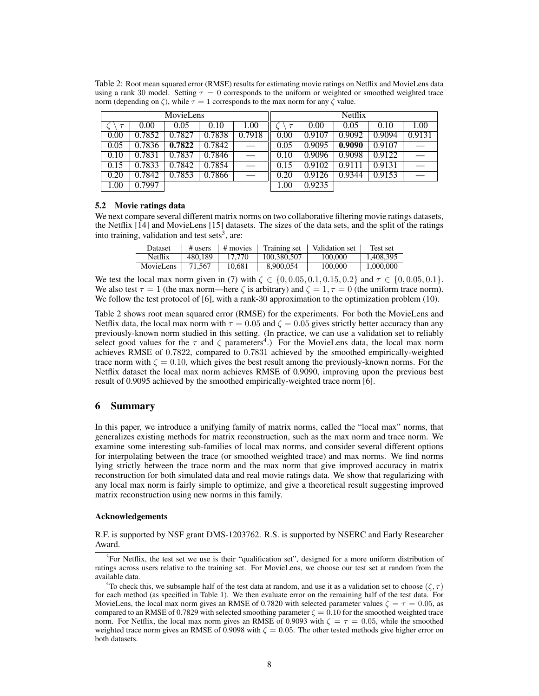| MovieLens |        |        | <b>Netflix</b> |        |        |        |        |        |        |
|-----------|--------|--------|----------------|--------|--------|--------|--------|--------|--------|
| $\tau$    | 0.00   | 0.05   | 0.10           | 1.00   | $\tau$ | 0.00   | 0.05   | 0.10   | 1.00   |
| 0.00      | 0.7852 | 0.7827 | 0.7838         | 0.7918 | 0.00   | 0.9107 | 0.9092 | 0.9094 | 0.9131 |
| 0.05      | 0.7836 | 0.7822 | 0.7842         |        | 0.05   | 0.9095 | 0.9090 | 0.9107 |        |
| 0.10      | 0.7831 | 0.7837 | 0.7846         |        | 0.10   | 0.9096 | 0.9098 | 0.9122 |        |
| 0.15      | 0.7833 | 0.7842 | 0.7854         |        | 0.15   | 0.9102 | 0.9111 | 0.9131 |        |
| 0.20      | 0.7842 | 0.7853 | 0.7866         |        | 0.20   | 0.9126 | 0.9344 | 0.9153 |        |
| 00.1      | 0.7997 |        |                |        | 00.1   | 0.9235 |        |        |        |

Table 2: Root mean squared error (RMSE) results for estimating movie ratings on Netflix and MovieLens data using a rank 30 model. Setting  $\tau = 0$  corresponds to the uniform or weighted or smoothed weighted trace norm (depending on  $\zeta$ ), while  $\tau = 1$  corresponds to the max norm for any  $\zeta$  value.

#### 5.2 Movie ratings data

We next compare several different matrix norms on two collaborative filtering movie ratings datasets, the Netflix [14] and MovieLens [15] datasets. The sizes of the data sets, and the split of the ratings into training, validation and test sets<sup>3</sup>, are:

| Dataset   | $\#$ users | # movies 1 |             | Training set   Validation set | Test set  |
|-----------|------------|------------|-------------|-------------------------------|-----------|
| Netflix   | 480.189    | 17.770     | 100.380.507 | 100,000                       | 1.408.395 |
| MovieLens | 71,567     | 10.681     | 8,900,054   | 100,000                       | 1,000,000 |

We test the local max norm given in (7) with  $\zeta \in \{0, 0.05, 0.1, 0.15, 0.2\}$  and  $\tau \in \{0, 0.05, 0.1\}$ . We also test  $\tau = 1$  (the max norm—here  $\zeta$  is arbitrary) and  $\zeta = 1, \tau = 0$  (the uniform trace norm). We follow the test protocol of [6], with a rank-30 approximation to the optimization problem (10).

Table 2 shows root mean squared error (RMSE) for the experiments. For both the MovieLens and Netflix data, the local max norm with  $\tau = 0.05$  and  $\zeta = 0.05$  gives strictly better accuracy than any previously-known norm studied in this setting. (In practice, we can use a validation set to reliably select good values for the  $\tau$  and  $\zeta$  parameters<sup>4</sup>.) For the MovieLens data, the local max norm achieves RMSE of 0.7822, compared to 0.7831 achieved by the smoothed empirically-weighted trace norm with  $\zeta = 0.10$ , which gives the best result among the previously-known norms. For the Netflix dataset the local max norm achieves RMSE of 0.9090, improving upon the previous best result of 0.9095 achieved by the smoothed empirically-weighted trace norm [6].

# 6 Summary

In this paper, we introduce a unifying family of matrix norms, called the "local max" norms, that generalizes existing methods for matrix reconstruction, such as the max norm and trace norm. We examine some interesting sub-families of local max norms, and consider several different options for interpolating between the trace (or smoothed weighted trace) and max norms. We find norms lying strictly between the trace norm and the max norm that give improved accuracy in matrix reconstruction for both simulated data and real movie ratings data. We show that regularizing with any local max norm is fairly simple to optimize, and give a theoretical result suggesting improved matrix reconstruction using new norms in this family.

### Acknowledgements

R.F. is supported by NSF grant DMS-1203762. R.S. is supported by NSERC and Early Researcher Award.

<sup>&</sup>lt;sup>3</sup>For Netflix, the test set we use is their "qualification set", designed for a more uniform distribution of ratings across users relative to the training set. For MovieLens, we choose our test set at random from the available data.

<sup>&</sup>lt;sup>4</sup>To check this, we subsample half of the test data at random, and use it as a validation set to choose  $(\zeta, \tau)$ for each method (as specified in Table 1). We then evaluate error on the remaining half of the test data. For MovieLens, the local max norm gives an RMSE of 0.7820 with selected parameter values  $\zeta = \tau = 0.05$ , as compared to an RMSE of 0.7829 with selected smoothing parameter  $\zeta = 0.10$  for the smoothed weighted trace norm. For Netflix, the local max norm gives an RMSE of 0.9093 with  $\zeta = \tau = 0.05$ , while the smoothed weighted trace norm gives an RMSE of 0.9098 with  $\zeta = 0.05$ . The other tested methods give higher error on both datasets.